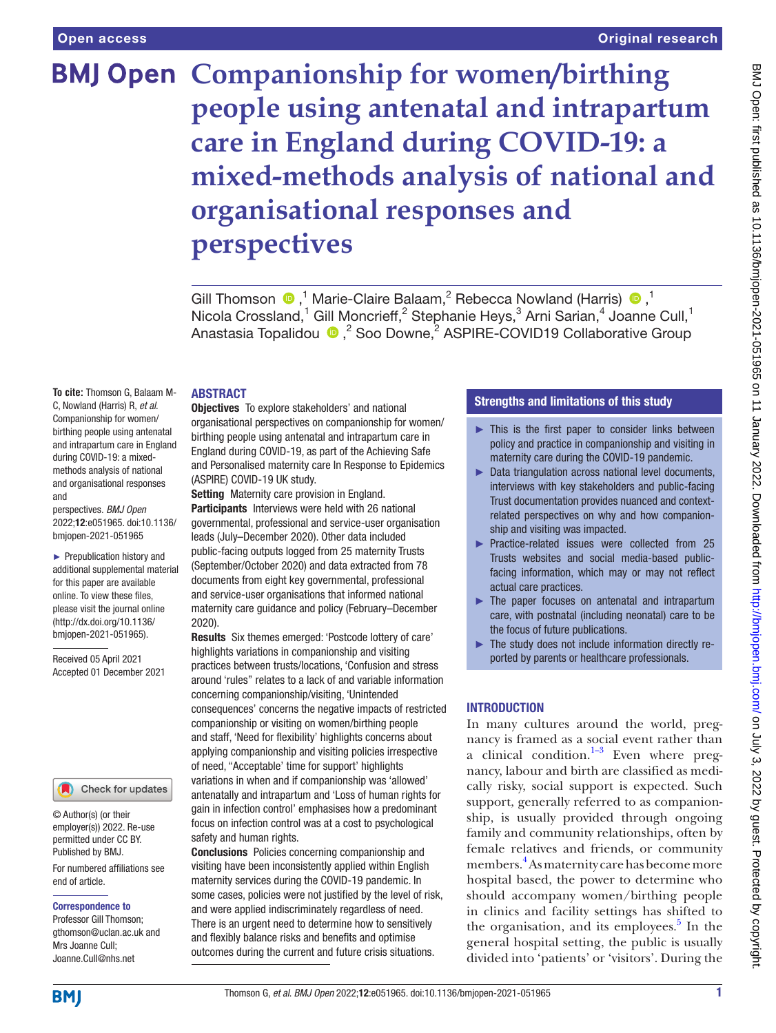# **BMJ Open Companionship for women/birthing people using antenatal and intrapartum care in England during COVID-19: a mixed-methods analysis of national and organisational responses and perspectives**

Gill Thomson  $\bullet$ ,<sup>1</sup> Marie-Claire Balaam,<sup>2</sup> Rebecca Nowland (Harris)  $\bullet$ ,<sup>1</sup> Nicola Crossland,<sup>1</sup> Gill Moncrieff,<sup>2</sup> Stephanie Heys,<sup>3</sup> Arni Sarian,<sup>4</sup> Joanne Cull,<sup>1</sup> Anastasia Topalidou <sup>®</sup>,<sup>2</sup> Soo Downe,<sup>2</sup> ASPIRE-COVID19 Collaborative Group

## ABSTRACT

**To cite:** Thomson G, Balaam M-C, Nowland (Harris) R, *et al*. Companionship for women/ birthing people using antenatal and intrapartum care in England during COVID-19: a mixedmethods analysis of national and organisational responses and

perspectives. *BMJ Open* 2022;12:e051965. doi:10.1136/ bmjopen-2021-051965

► Prepublication history and additional supplemental material for this paper are available online. To view these files, please visit the journal online [\(http://dx.doi.org/10.1136/](http://dx.doi.org/10.1136/bmjopen-2021-051965) [bmjopen-2021-051965](http://dx.doi.org/10.1136/bmjopen-2021-051965)).

Received 05 April 2021 Accepted 01 December 2021

#### Check for updates

© Author(s) (or their employer(s)) 2022. Re-use permitted under CC BY. Published by BMJ.

For numbered affiliations see end of article.

Correspondence to

Professor Gill Thomson; gthomson@uclan.ac.uk and Mrs Joanne Cull; Joanne.Cull@nhs.net

## Objectives To explore stakeholders' and national organisational perspectives on companionship for women/ birthing people using antenatal and intrapartum care in England during COVID-19, as part of the Achieving Safe and Personalised maternity care In Response to Epidemics (ASPIRE) COVID-19 UK study.

Setting Maternity care provision in England. Participants Interviews were held with 26 national governmental, professional and service-user organisation leads (July–December 2020). Other data included public-facing outputs logged from 25 maternity Trusts (September/October 2020) and data extracted from 78 documents from eight key governmental, professional and service-user organisations that informed national maternity care guidance and policy (February–December 2020).

Results Six themes emerged: 'Postcode lottery of care' highlights variations in companionship and visiting practices between trusts/locations, 'Confusion and stress around 'rules'' relates to a lack of and variable information concerning companionship/visiting, 'Unintended consequences' concerns the negative impacts of restricted companionship or visiting on women/birthing people and staff, 'Need for flexibility' highlights concerns about applying companionship and visiting policies irrespective of need, ''Acceptable' time for support' highlights variations in when and if companionship was 'allowed' antenatally and intrapartum and 'Loss of human rights for gain in infection control' emphasises how a predominant focus on infection control was at a cost to psychological safety and human rights.

Conclusions Policies concerning companionship and visiting have been inconsistently applied within English maternity services during the COVID-19 pandemic. In some cases, policies were not justified by the level of risk, and were applied indiscriminately regardless of need. There is an urgent need to determine how to sensitively and flexibly balance risks and benefits and optimise outcomes during the current and future crisis situations.

# Strengths and limitations of this study

- $\blacktriangleright$  This is the first paper to consider links between policy and practice in companionship and visiting in maternity care during the COVID-19 pandemic.
- ► Data triangulation across national level documents, interviews with key stakeholders and public-facing Trust documentation provides nuanced and contextrelated perspectives on why and how companionship and visiting was impacted.
- ► Practice-related issues were collected from 25 Trusts websites and social media-based publicfacing information, which may or may not reflect actual care practices.
- ► The paper focuses on antenatal and intrapartum care, with postnatal (including neonatal) care to be the focus of future publications.
- The study does not include information directly reported by parents or healthcare professionals.

#### INTRODUCTION

In many cultures around the world, pregnancy is framed as a social event rather than a clinical condition. $1-3$  Even where pregnancy, labour and birth are classified as medically risky, social support is expected. Such support, generally referred to as companionship, is usually provided through ongoing family and community relationships, often by female relatives and friends, or community members.<sup>[4](#page-11-1)</sup> As maternity care has become more hospital based, the power to determine who should accompany women/birthing people in clinics and facility settings has shifted to the organisation, and its employees.<sup>[5](#page-11-2)</sup> In the general hospital setting, the public is usually divided into 'patients' or 'visitors'. During the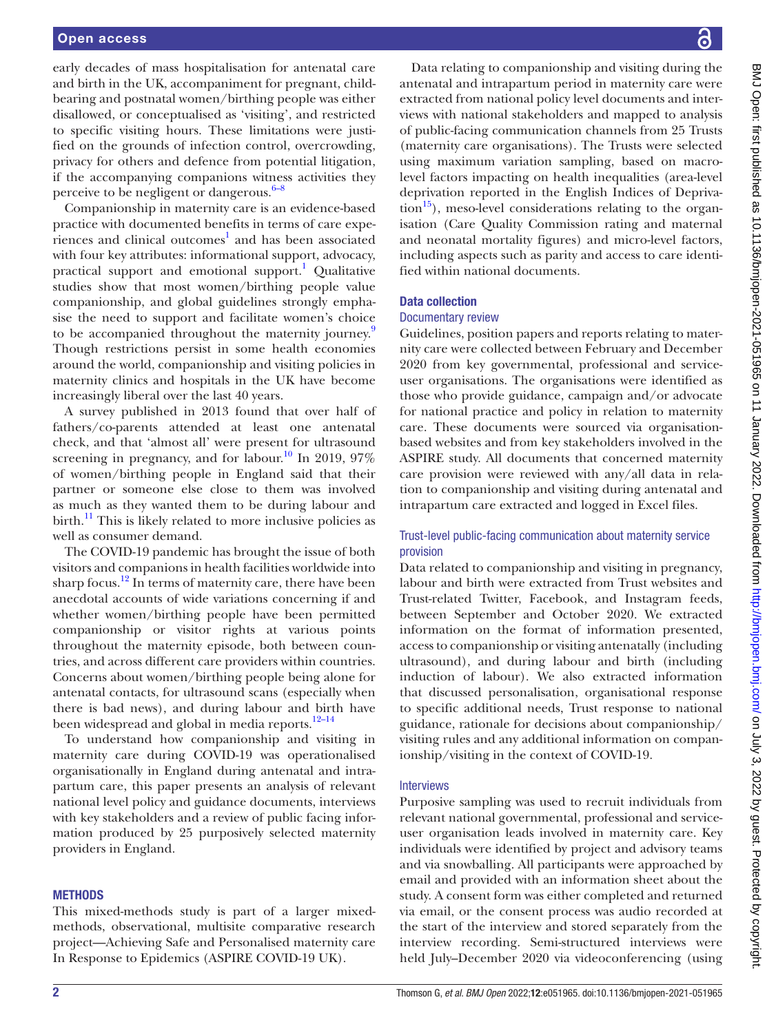early decades of mass hospitalisation for antenatal care and birth in the UK, accompaniment for pregnant, childbearing and postnatal women/birthing people was either disallowed, or conceptualised as 'visiting', and restricted to specific visiting hours. These limitations were justified on the grounds of infection control, overcrowding, privacy for others and defence from potential litigation, if the accompanying companions witness activities they perceive to be negligent or dangerous. $6-8$ 

Companionship in maternity care is an evidence-based practice with documented benefits in terms of care expe-riences and clinical outcomes<sup>[1](#page-11-0)</sup> and has been associated with four key attributes: informational support, advocacy, practical support and emotional support.<sup>[1](#page-11-0)</sup> Qualitative studies show that most women/birthing people value companionship, and global guidelines strongly emphasise the need to support and facilitate women's choice to be accompanied throughout the maternity journey.<sup>[9](#page-11-4)</sup> Though restrictions persist in some health economies around the world, companionship and visiting policies in maternity clinics and hospitals in the UK have become increasingly liberal over the last 40 years.

A survey published in 2013 found that over half of fathers/co-parents attended at least one antenatal check, and that 'almost all' were present for ultrasound screening in pregnancy, and for labour.<sup>10</sup> In 2019, 97% of women/birthing people in England said that their partner or someone else close to them was involved as much as they wanted them to be during labour and birth. $^{11}$  This is likely related to more inclusive policies as well as consumer demand.

The COVID-19 pandemic has brought the issue of both visitors and companions in health facilities worldwide into sharp focus.<sup>12</sup> In terms of maternity care, there have been anecdotal accounts of wide variations concerning if and whether women/birthing people have been permitted companionship or visitor rights at various points throughout the maternity episode, both between countries, and across different care providers within countries. Concerns about women/birthing people being alone for antenatal contacts, for ultrasound scans (especially when there is bad news), and during labour and birth have been widespread and global in media reports. $12-14$ 

To understand how companionship and visiting in maternity care during COVID-19 was operationalised organisationally in England during antenatal and intrapartum care, this paper presents an analysis of relevant national level policy and guidance documents, interviews with key stakeholders and a review of public facing information produced by 25 purposively selected maternity providers in England.

#### **METHODS**

This mixed-methods study is part of a larger mixedmethods, observational, multisite comparative research project—Achieving Safe and Personalised maternity care In Response to Epidemics (ASPIRE COVID-19 UK).

Data relating to companionship and visiting during the antenatal and intrapartum period in maternity care were extracted from national policy level documents and interviews with national stakeholders and mapped to analysis of public-facing communication channels from 25 Trusts (maternity care organisations). The Trusts were selected using maximum variation sampling, based on macrolevel factors impacting on health inequalities (area-level deprivation reported in the English Indices of Depriva- $\text{tion}^{15}$ ), meso-level considerations relating to the organisation (Care Quality Commission rating and maternal and neonatal mortality figures) and micro-level factors, including aspects such as parity and access to care identified within national documents.

#### Data collection

#### Documentary review

Guidelines, position papers and reports relating to maternity care were collected between February and December 2020 from key governmental, professional and serviceuser organisations. The organisations were identified as those who provide guidance, campaign and/or advocate for national practice and policy in relation to maternity care. These documents were sourced via organisationbased websites and from key stakeholders involved in the ASPIRE study. All documents that concerned maternity care provision were reviewed with any/all data in relation to companionship and visiting during antenatal and intrapartum care extracted and logged in Excel files.

## Trust-level public-facing communication about maternity service provision

Data related to companionship and visiting in pregnancy, labour and birth were extracted from Trust websites and Trust-related Twitter, Facebook, and Instagram feeds, between September and October 2020. We extracted information on the format of information presented, access to companionship or visiting antenatally (including ultrasound), and during labour and birth (including induction of labour). We also extracted information that discussed personalisation, organisational response to specific additional needs, Trust response to national guidance, rationale for decisions about companionship/ visiting rules and any additional information on companionship/visiting in the context of COVID-19.

#### Interviews

Purposive sampling was used to recruit individuals from relevant national governmental, professional and serviceuser organisation leads involved in maternity care. Key individuals were identified by project and advisory teams and via snowballing. All participants were approached by email and provided with an information sheet about the study. A consent form was either completed and returned via email, or the consent process was audio recorded at the start of the interview and stored separately from the interview recording. Semi-structured interviews were held July–December 2020 via videoconferencing (using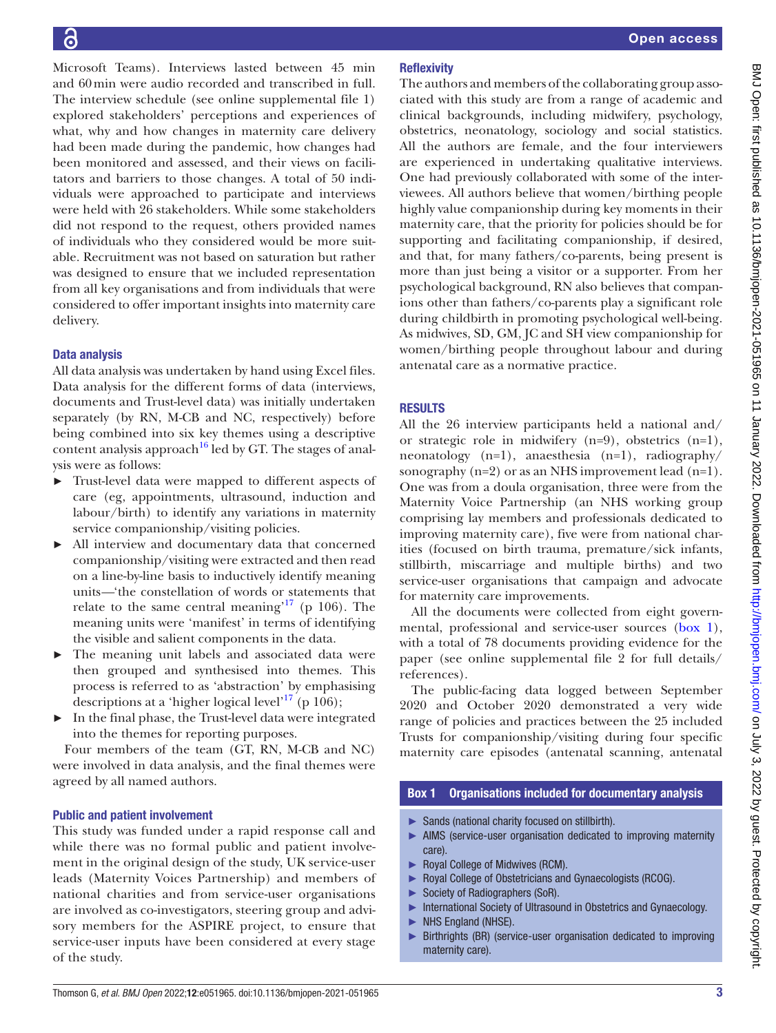Microsoft Teams). Interviews lasted between 45 min and 60min were audio recorded and transcribed in full. The interview schedule (see [online supplemental file 1\)](https://dx.doi.org/10.1136/bmjopen-2021-051965) explored stakeholders' perceptions and experiences of what, why and how changes in maternity care delivery had been made during the pandemic, how changes had been monitored and assessed, and their views on facilitators and barriers to those changes. A total of 50 individuals were approached to participate and interviews were held with 26 stakeholders. While some stakeholders did not respond to the request, others provided names of individuals who they considered would be more suitable. Recruitment was not based on saturation but rather was designed to ensure that we included representation from all key organisations and from individuals that were considered to offer important insights into maternity care delivery.

# Data analysis

All data analysis was undertaken by hand using Excel files. Data analysis for the different forms of data (interviews, documents and Trust-level data) was initially undertaken separately (by RN, M-CB and NC, respectively) before being combined into six key themes using a descriptive content analysis approach<sup>16</sup> led by GT. The stages of analysis were as follows:

- ► Trust-level data were mapped to different aspects of care (eg, appointments, ultrasound, induction and labour/birth) to identify any variations in maternity service companionship/visiting policies.
- ► All interview and documentary data that concerned companionship/visiting were extracted and then read on a line-by-line basis to inductively identify meaning units*—*'the constellation of words or statements that relate to the same central meaning<sup> $17$ </sup> (p 106). The meaning units were 'manifest' in terms of identifying the visible and salient components in the data.
- ► The meaning unit labels and associated data were then grouped and synthesised into themes. This process is referred to as 'abstraction' by emphasising descriptions at a 'higher logical level'<sup>17</sup> (p 106);
- ► In the final phase, the Trust-level data were integrated into the themes for reporting purposes.

Four members of the team (GT, RN, M-CB and NC) were involved in data analysis, and the final themes were agreed by all named authors.

#### Public and patient involvement

This study was funded under a rapid response call and while there was no formal public and patient involvement in the original design of the study, UK service-user leads (Maternity Voices Partnership) and members of national charities and from service-user organisations are involved as co-investigators, steering group and advisory members for the ASPIRE project, to ensure that service-user inputs have been considered at every stage of the study.

# **Reflexivity**

The authors and members of the collaborating group associated with this study are from a range of academic and clinical backgrounds, including midwifery, psychology, obstetrics, neonatology, sociology and social statistics. All the authors are female, and the four interviewers are experienced in undertaking qualitative interviews. One had previously collaborated with some of the interviewees. All authors believe that women/birthing people highly value companionship during key moments in their maternity care, that the priority for policies should be for supporting and facilitating companionship, if desired, and that, for many fathers/co-parents, being present is more than just being a visitor or a supporter. From her psychological background, RN also believes that companions other than fathers/co-parents play a significant role during childbirth in promoting psychological well-being. As midwives, SD, GM, JC and SH view companionship for women/birthing people throughout labour and during antenatal care as a normative practice.

# RESULTS

All the 26 interview participants held a national and/ or strategic role in midwifery (n=9), obstetrics (n=1), neonatology (n=1), anaesthesia (n=1), radiography/ sonography  $(n=2)$  or as an NHS improvement lead  $(n=1)$ . One was from a doula organisation, three were from the Maternity Voice Partnership (an NHS working group comprising lay members and professionals dedicated to improving maternity care), five were from national charities (focused on birth trauma, premature/sick infants, stillbirth, miscarriage and multiple births) and two service-user organisations that campaign and advocate for maternity care improvements.

All the documents were collected from eight governmental, professional and service-user sources [\(box](#page-2-0) 1), with a total of 78 documents providing evidence for the paper (see [online supplemental file 2](https://dx.doi.org/10.1136/bmjopen-2021-051965) for full details/ references).

The public-facing data logged between September 2020 and October 2020 demonstrated a very wide range of policies and practices between the 25 included Trusts for companionship/visiting during four specific maternity care episodes (antenatal scanning, antenatal

## Box 1 Organisations included for documentary analysis

- <span id="page-2-0"></span>► Sands (national charity focused on stillbirth).
- ► AIMS (service-user organisation dedicated to improving maternity care).
- ► Royal College of Midwives (RCM).
- Royal College of Obstetricians and Gynaecologists (RCOG).
- Society of Radiographers (SoR).
- International Society of Ultrasound in Obstetrics and Gynaecology.
- ► NHS England (NHSE).
- ► Birthrights (BR) (service-user organisation dedicated to improving maternity care).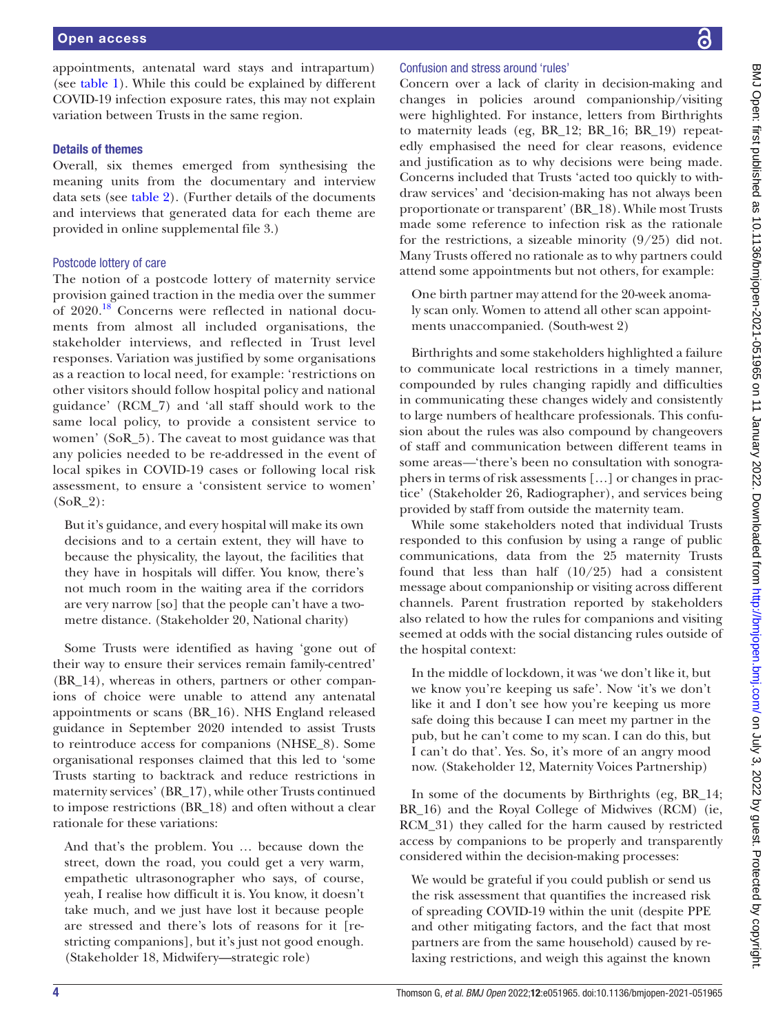appointments, antenatal ward stays and intrapartum) (see [table](#page-4-0) 1). While this could be explained by different COVID-19 infection exposure rates, this may not explain variation between Trusts in the same region.

## Details of themes

Overall, six themes emerged from synthesising the meaning units from the documentary and interview data sets (see [table](#page-6-0) 2). (Further details of the documents and interviews that generated data for each theme are provided in [online supplemental file 3.](https://dx.doi.org/10.1136/bmjopen-2021-051965))

## Postcode lottery of care

The notion of a postcode lottery of maternity service provision gained traction in the media over the summer of 2020.<sup>18</sup> Concerns were reflected in national documents from almost all included organisations, the stakeholder interviews, and reflected in Trust level responses. Variation was justified by some organisations as a reaction to local need, for example: 'restrictions on other visitors should follow hospital policy and national guidance' (RCM\_7) and 'all staff should work to the same local policy, to provide a consistent service to women' (SoR\_5). The caveat to most guidance was that any policies needed to be re-addressed in the event of local spikes in COVID-19 cases or following local risk assessment, to ensure a 'consistent service to women' (SoR\_2):

But it's guidance, and every hospital will make its own decisions and to a certain extent, they will have to because the physicality, the layout, the facilities that they have in hospitals will differ. You know, there's not much room in the waiting area if the corridors are very narrow [so] that the people can't have a twometre distance. (Stakeholder 20, National charity)

Some Trusts were identified as having 'gone out of their way to ensure their services remain family-centred' (BR\_14), whereas in others, partners or other companions of choice were unable to attend any antenatal appointments or scans (BR\_16). NHS England released guidance in September 2020 intended to assist Trusts to reintroduce access for companions (NHSE\_8). Some organisational responses claimed that this led to 'some Trusts starting to backtrack and reduce restrictions in maternity services' (BR\_17), while other Trusts continued to impose restrictions (BR\_18) and often without a clear rationale for these variations:

And that's the problem. You … because down the street, down the road, you could get a very warm, empathetic ultrasonographer who says, of course, yeah, I realise how difficult it is. You know, it doesn't take much, and we just have lost it because people are stressed and there's lots of reasons for it [restricting companions], but it's just not good enough. (Stakeholder 18, Midwifery—strategic role)

## Confusion and stress around 'rules'

Concern over a lack of clarity in decision-making and changes in policies around companionship/visiting were highlighted. For instance, letters from Birthrights to maternity leads (eg, BR\_12; BR\_16; BR\_19) repeatedly emphasised the need for clear reasons, evidence and justification as to why decisions were being made. Concerns included that Trusts 'acted too quickly to withdraw services' and 'decision-making has not always been proportionate or transparent' (BR\_18). While most Trusts made some reference to infection risk as the rationale for the restrictions, a sizeable minority (9/25) did not. Many Trusts offered no rationale as to why partners could attend some appointments but not others, for example:

One birth partner may attend for the 20-week anomaly scan only. Women to attend all other scan appointments unaccompanied. (South-west 2)

Birthrights and some stakeholders highlighted a failure to communicate local restrictions in a timely manner, compounded by rules changing rapidly and difficulties in communicating these changes widely and consistently to large numbers of healthcare professionals. This confusion about the rules was also compound by changeovers of staff and communication between different teams in some areas*—*'there's been no consultation with sonographers in terms of risk assessments […] or changes in practice' (Stakeholder 26, Radiographer), and services being provided by staff from outside the maternity team.

While some stakeholders noted that individual Trusts responded to this confusion by using a range of public communications, data from the 25 maternity Trusts found that less than half (10/25) had a consistent message about companionship or visiting across different channels. Parent frustration reported by stakeholders also related to how the rules for companions and visiting seemed at odds with the social distancing rules outside of the hospital context:

In the middle of lockdown, it was 'we don't like it, but we know you're keeping us safe'. Now 'it's we don't like it and I don't see how you're keeping us more safe doing this because I can meet my partner in the pub, but he can't come to my scan. I can do this, but I can't do that'. Yes. So, it's more of an angry mood now. (Stakeholder 12, Maternity Voices Partnership)

In some of the documents by Birthrights (eg, BR\_14; BR\_16) and the Royal College of Midwives (RCM) (ie, RCM\_31) they called for the harm caused by restricted access by companions to be properly and transparently considered within the decision-making processes:

We would be grateful if you could publish or send us the risk assessment that quantifies the increased risk of spreading COVID-19 within the unit (despite PPE and other mitigating factors, and the fact that most partners are from the same household) caused by relaxing restrictions, and weigh this against the known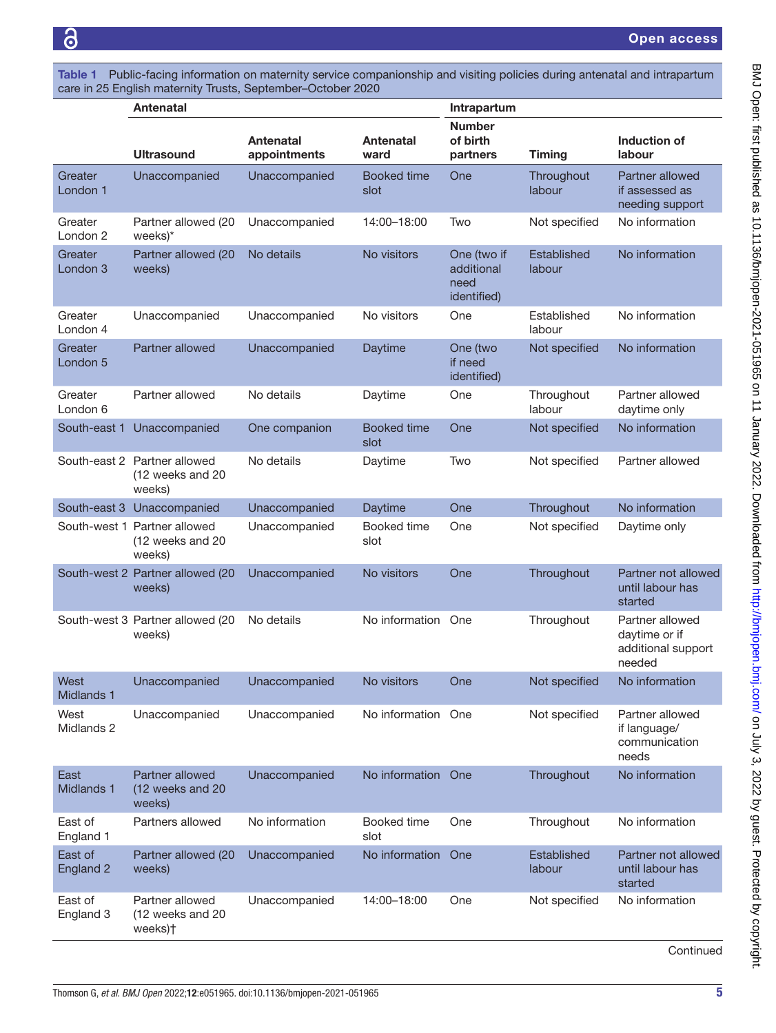<span id="page-4-0"></span>Table 1 Public-facing information on maternity service companionship and visiting policies during antenatal and intrapartum care in 25 English maternity Trusts, September–October 2020

|                                | <b>Antenatal</b>                                           |                           |                            | Intrapartum                                      |                       |                                                                  |
|--------------------------------|------------------------------------------------------------|---------------------------|----------------------------|--------------------------------------------------|-----------------------|------------------------------------------------------------------|
|                                | <b>Ultrasound</b>                                          | Antenatal<br>appointments | Antenatal<br>ward          | <b>Number</b><br>of birth<br>partners            | <b>Timing</b>         | Induction of<br>labour                                           |
| Greater<br>London <sub>1</sub> | Unaccompanied                                              | Unaccompanied             | <b>Booked time</b><br>slot | One                                              | Throughout<br>labour  | Partner allowed<br>if assessed as<br>needing support             |
| Greater<br>London <sub>2</sub> | Partner allowed (20<br>weeks)*                             | Unaccompanied             | 14:00-18:00                | Two                                              | Not specified         | No information                                                   |
| Greater<br>London <sub>3</sub> | Partner allowed (20<br>weeks)                              | No details                | No visitors                | One (two if<br>additional<br>need<br>identified) | Established<br>labour | No information                                                   |
| Greater<br>London 4            | Unaccompanied                                              | Unaccompanied             | No visitors                | One                                              | Established<br>labour | No information                                                   |
| Greater<br>London 5            | Partner allowed                                            | Unaccompanied             | Daytime                    | One (two<br>if need<br>identified)               | Not specified         | No information                                                   |
| Greater<br>London 6            | Partner allowed                                            | No details                | Daytime                    | One                                              | Throughout<br>labour  | Partner allowed<br>daytime only                                  |
| South-east 1                   | Unaccompanied                                              | One companion             | <b>Booked time</b><br>slot | One                                              | Not specified         | No information                                                   |
|                                | South-east 2 Partner allowed<br>(12 weeks and 20<br>weeks) | No details                | Daytime                    | Two                                              | Not specified         | Partner allowed                                                  |
|                                | South-east 3 Unaccompanied                                 | Unaccompanied             | Daytime                    | One                                              | Throughout            | No information                                                   |
|                                | South-west 1 Partner allowed<br>(12 weeks and 20<br>weeks) | Unaccompanied             | Booked time<br>slot        | One                                              | Not specified         | Daytime only                                                     |
|                                | South-west 2 Partner allowed (20<br>weeks)                 | Unaccompanied             | No visitors                | One                                              | Throughout            | Partner not allowed<br>until labour has<br>started               |
|                                | South-west 3 Partner allowed (20<br>weeks)                 | No details                | No information             | One                                              | Throughout            | Partner allowed<br>daytime or if<br>additional support<br>needed |
| West<br>Midlands 1             | Unaccompanied                                              | Unaccompanied             | No visitors                | One                                              | Not specified         | No information                                                   |
| West<br>Midlands 2             | Unaccompanied                                              | Unaccompanied             | No information One         |                                                  | Not specified         | Partner allowed<br>if language/<br>communication<br>needs        |
| East<br>Midlands 1             | Partner allowed<br>(12 weeks and 20<br>weeks)              | Unaccompanied             | No information             | One                                              | Throughout            | No information                                                   |
| East of<br>England 1           | Partners allowed                                           | No information            | Booked time<br>slot        | One                                              | Throughout            | No information                                                   |
| East of<br>England 2           | Partner allowed (20<br>weeks)                              | Unaccompanied             | No information             | One                                              | Established<br>labour | Partner not allowed<br>until labour has<br>started               |
| East of<br>England 3           | Partner allowed<br>(12 weeks and 20<br>weeks) <sup>+</sup> | Unaccompanied             | 14:00-18:00                | One                                              | Not specified         | No information                                                   |

**Continued**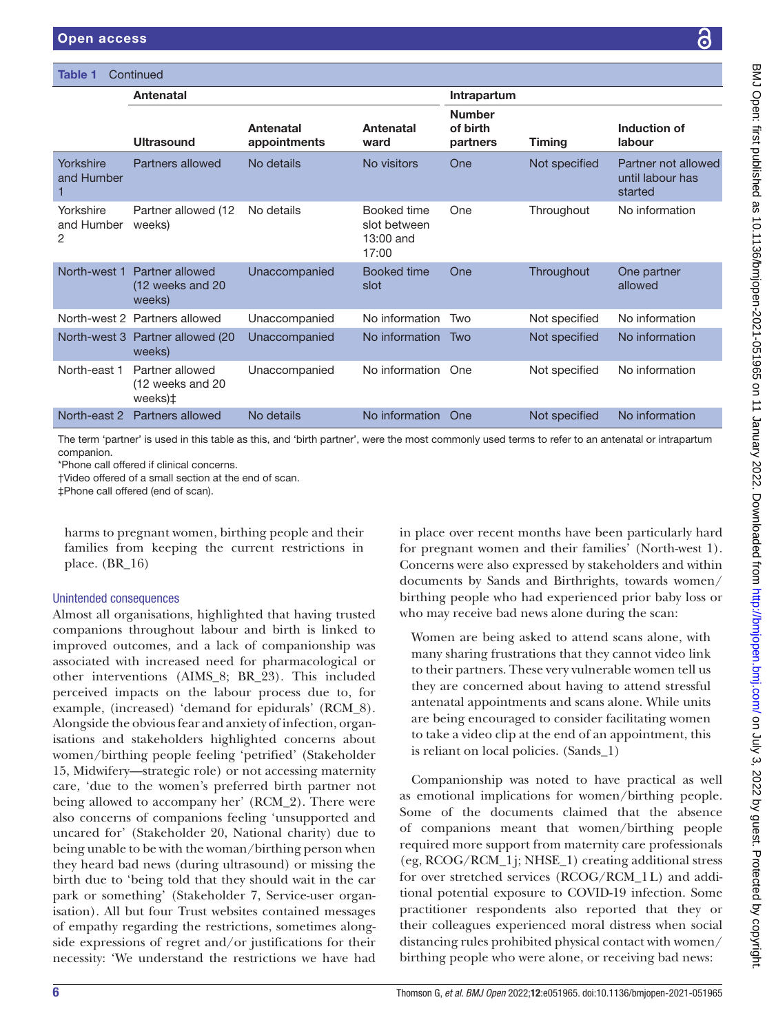| Table 1<br>Continued         |                                                |                                  |                                                   |                                       |               |                                                    |
|------------------------------|------------------------------------------------|----------------------------------|---------------------------------------------------|---------------------------------------|---------------|----------------------------------------------------|
|                              | <b>Antenatal</b>                               |                                  |                                                   | Intrapartum                           |               |                                                    |
|                              | Ultrasound                                     | <b>Antenatal</b><br>appointments | Antenatal<br>ward                                 | <b>Number</b><br>of birth<br>partners | <b>Timing</b> | Induction of<br>labour                             |
| Yorkshire<br>and Humber      | Partners allowed                               | No details                       | No visitors                                       | One                                   | Not specified | Partner not allowed<br>until labour has<br>started |
| Yorkshire<br>and Humber<br>2 | Partner allowed (12<br>weeks)                  | No details                       | Booked time<br>slot between<br>13:00 and<br>17:00 | One                                   | Throughout    | No information                                     |
| North-west 1                 | Partner allowed<br>(12 weeks and 20)<br>weeks) | Unaccompanied                    | <b>Booked time</b><br>slot                        | One                                   | Throughout    | One partner<br>allowed                             |
|                              | North-west 2 Partners allowed                  | Unaccompanied                    | No information                                    | Two                                   | Not specified | No information                                     |
|                              | North-west 3 Partner allowed (20<br>weeks)     | Unaccompanied                    | No information                                    | Two                                   | Not specified | No information                                     |
| North-east 1                 | Partner allowed<br>(12 weeks and 20<br>weeks)‡ | Unaccompanied                    | No information                                    | One                                   | Not specified | No information                                     |
| North-east 2                 | Partners allowed                               | No details                       | No information                                    | One                                   | Not specified | No information                                     |

The term 'partner' is used in this table as this, and 'birth partner', were the most commonly used terms to refer to an antenatal or intrapartum companion.

\*Phone call offered if clinical concerns.

†Video offered of a small section at the end of scan.

‡Phone call offered (end of scan).

harms to pregnant women, birthing people and their families from keeping the current restrictions in place. (BR\_16)

#### Unintended consequences

Almost all organisations, highlighted that having trusted companions throughout labour and birth is linked to improved outcomes, and a lack of companionship was associated with increased need for pharmacological or other interventions (AIMS\_8; BR\_23). This included perceived impacts on the labour process due to, for example, (increased) 'demand for epidurals' (RCM\_8). Alongside the obvious fear and anxiety of infection, organisations and stakeholders highlighted concerns about women/birthing people feeling 'petrified' (Stakeholder 15, Midwifery—strategic role) or not accessing maternity care, 'due to the women's preferred birth partner not being allowed to accompany her' (RCM\_2). There were also concerns of companions feeling 'unsupported and uncared for' (Stakeholder 20, National charity) due to being unable to be with the woman/birthing person when they heard bad news (during ultrasound) or missing the birth due to 'being told that they should wait in the car park or something' (Stakeholder 7, Service-user organisation). All but four Trust websites contained messages of empathy regarding the restrictions, sometimes alongside expressions of regret and/or justifications for their necessity: 'We understand the restrictions we have had

in place over recent months have been particularly hard for pregnant women and their families' (North-west 1). Concerns were also expressed by stakeholders and within documents by Sands and Birthrights, towards women/ birthing people who had experienced prior baby loss or who may receive bad news alone during the scan:

Women are being asked to attend scans alone, with many sharing frustrations that they cannot video link to their partners. These very vulnerable women tell us they are concerned about having to attend stressful antenatal appointments and scans alone. While units are being encouraged to consider facilitating women to take a video clip at the end of an appointment, this is reliant on local policies. (Sands\_1)

Companionship was noted to have practical as well as emotional implications for women/birthing people. Some of the documents claimed that the absence of companions meant that women/birthing people required more support from maternity care professionals (eg, RCOG/RCM\_1j; NHSE\_1) creating additional stress for over stretched services (RCOG/RCM\_1L) and additional potential exposure to COVID-19 infection. Some practitioner respondents also reported that they or their colleagues experienced moral distress when social distancing rules prohibited physical contact with women/ birthing people who were alone, or receiving bad news: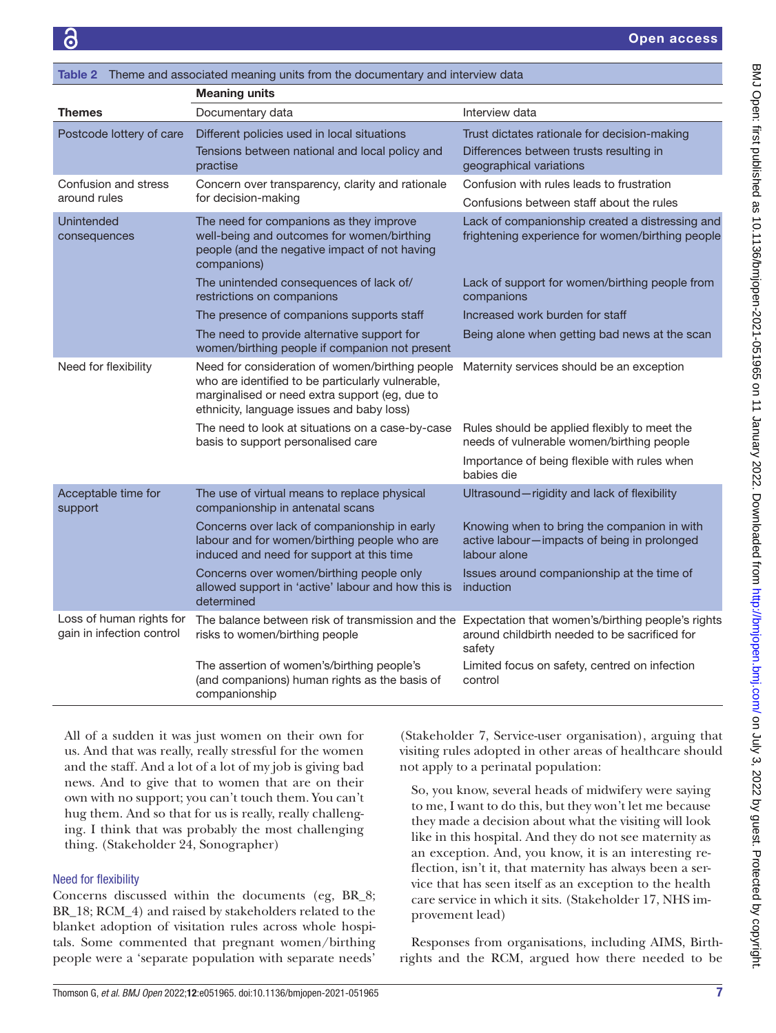<span id="page-6-0"></span>

| Theme and associated meaning units from the documentary and interview data<br>Table 2 |                                                                                                                                                                                                     |                                                                                                                                                               |  |  |  |  |
|---------------------------------------------------------------------------------------|-----------------------------------------------------------------------------------------------------------------------------------------------------------------------------------------------------|---------------------------------------------------------------------------------------------------------------------------------------------------------------|--|--|--|--|
|                                                                                       | <b>Meaning units</b>                                                                                                                                                                                |                                                                                                                                                               |  |  |  |  |
| <b>Themes</b>                                                                         | Documentary data                                                                                                                                                                                    | Interview data                                                                                                                                                |  |  |  |  |
| Postcode lottery of care                                                              | Different policies used in local situations<br>Tensions between national and local policy and<br>practise                                                                                           | Trust dictates rationale for decision-making<br>Differences between trusts resulting in<br>geographical variations                                            |  |  |  |  |
| Confusion and stress<br>around rules                                                  | Concern over transparency, clarity and rationale<br>for decision-making                                                                                                                             | Confusion with rules leads to frustration<br>Confusions between staff about the rules                                                                         |  |  |  |  |
| Unintended<br>consequences                                                            | The need for companions as they improve<br>well-being and outcomes for women/birthing<br>people (and the negative impact of not having<br>companions)                                               | Lack of companionship created a distressing and<br>frightening experience for women/birthing people                                                           |  |  |  |  |
|                                                                                       | The unintended consequences of lack of/<br>restrictions on companions                                                                                                                               | Lack of support for women/birthing people from<br>companions                                                                                                  |  |  |  |  |
|                                                                                       | The presence of companions supports staff                                                                                                                                                           | Increased work burden for staff                                                                                                                               |  |  |  |  |
|                                                                                       | The need to provide alternative support for<br>women/birthing people if companion not present                                                                                                       | Being alone when getting bad news at the scan                                                                                                                 |  |  |  |  |
| Need for flexibility                                                                  | Need for consideration of women/birthing people<br>who are identified to be particularly vulnerable,<br>marginalised or need extra support (eg, due to<br>ethnicity, language issues and baby loss) | Maternity services should be an exception                                                                                                                     |  |  |  |  |
|                                                                                       | The need to look at situations on a case-by-case<br>basis to support personalised care                                                                                                              | Rules should be applied flexibly to meet the<br>needs of vulnerable women/birthing people                                                                     |  |  |  |  |
|                                                                                       |                                                                                                                                                                                                     | Importance of being flexible with rules when<br>babies die                                                                                                    |  |  |  |  |
| Acceptable time for<br>support                                                        | The use of virtual means to replace physical<br>companionship in antenatal scans                                                                                                                    | Ultrasound-rigidity and lack of flexibility                                                                                                                   |  |  |  |  |
|                                                                                       | Concerns over lack of companionship in early<br>labour and for women/birthing people who are<br>induced and need for support at this time                                                           | Knowing when to bring the companion in with<br>active labour-impacts of being in prolonged<br>labour alone                                                    |  |  |  |  |
|                                                                                       | Concerns over women/birthing people only<br>allowed support in 'active' labour and how this is<br>determined                                                                                        | Issues around companionship at the time of<br>induction                                                                                                       |  |  |  |  |
| Loss of human rights for<br>gain in infection control                                 | risks to women/birthing people                                                                                                                                                                      | The balance between risk of transmission and the Expectation that women's/birthing people's rights<br>around childbirth needed to be sacrificed for<br>safety |  |  |  |  |
|                                                                                       | The assertion of women's/birthing people's<br>(and companions) human rights as the basis of<br>companionship                                                                                        | Limited focus on safety, centred on infection<br>control                                                                                                      |  |  |  |  |

All of a sudden it was just women on their own for us. And that was really, really stressful for the women and the staff. And a lot of a lot of my job is giving bad news. And to give that to women that are on their own with no support; you can't touch them. You can't hug them. And so that for us is really, really challenging. I think that was probably the most challenging thing. (Stakeholder 24, Sonographer)

# Need for flexibility

Concerns discussed within the documents (eg, BR\_8; BR\_18; RCM\_4) and raised by stakeholders related to the blanket adoption of visitation rules across whole hospitals. Some commented that pregnant women/birthing people were a 'separate population with separate needs'

(Stakeholder 7, Service-user organisation), arguing that visiting rules adopted in other areas of healthcare should not apply to a perinatal population:

So, you know, several heads of midwifery were saying to me, I want to do this, but they won't let me because they made a decision about what the visiting will look like in this hospital. And they do not see maternity as an exception. And, you know, it is an interesting reflection, isn't it, that maternity has always been a service that has seen itself as an exception to the health care service in which it sits. (Stakeholder 17, NHS improvement lead)

Responses from organisations, including AIMS, Birthrights and the RCM, argued how there needed to be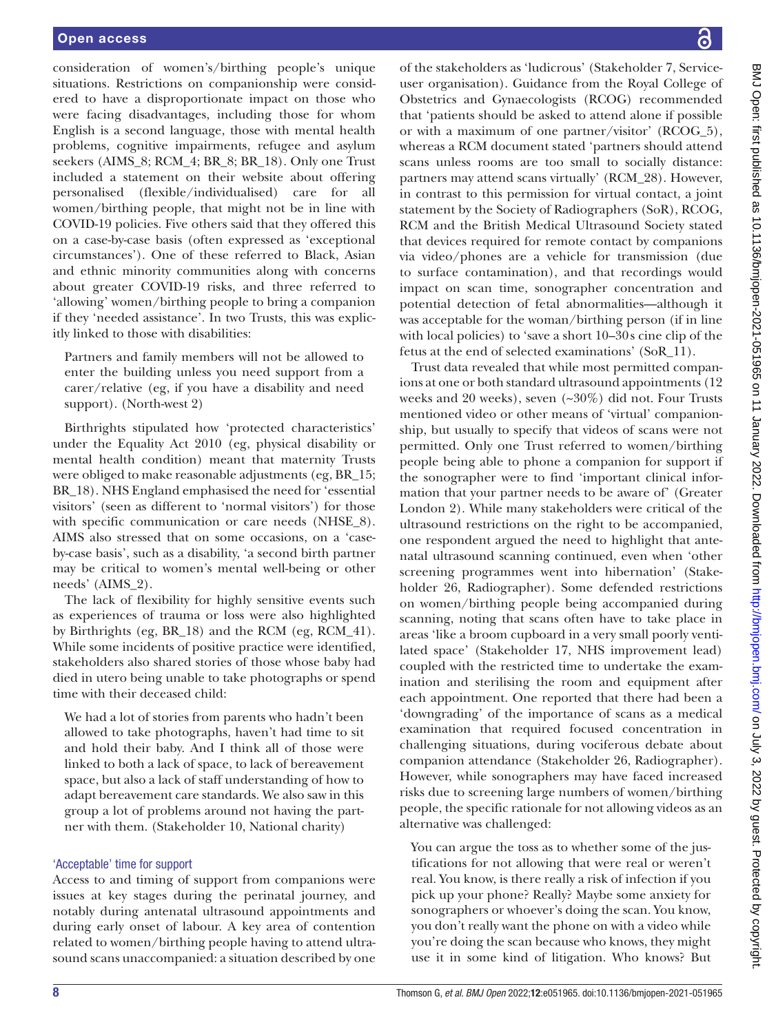consideration of women's/birthing people's unique situations. Restrictions on companionship were considered to have a disproportionate impact on those who were facing disadvantages, including those for whom English is a second language, those with mental health problems, cognitive impairments, refugee and asylum seekers (AIMS\_8; RCM\_4; BR\_8; BR\_18). Only one Trust included a statement on their website about offering personalised (flexible/individualised) care for all women/birthing people, that might not be in line with COVID-19 policies. Five others said that they offered this on a case-by-case basis (often expressed as 'exceptional circumstances'). One of these referred to Black, Asian and ethnic minority communities along with concerns about greater COVID-19 risks, and three referred to 'allowing' women/birthing people to bring a companion if they 'needed assistance'. In two Trusts, this was explicitly linked to those with disabilities:

Partners and family members will not be allowed to enter the building unless you need support from a carer/relative (eg, if you have a disability and need support). (North-west 2)

Birthrights stipulated how 'protected characteristics' under the Equality Act 2010 (eg, physical disability or mental health condition) meant that maternity Trusts were obliged to make reasonable adjustments (eg, BR\_15; BR\_18). NHS England emphasised the need for 'essential visitors' (seen as different to 'normal visitors') for those with specific communication or care needs (NHSE\_8). AIMS also stressed that on some occasions, on a 'caseby-case basis', such as a disability, 'a second birth partner may be critical to women's mental well-being or other needs' (AIMS\_2).

The lack of flexibility for highly sensitive events such as experiences of trauma or loss were also highlighted by Birthrights (eg, BR\_18) and the RCM (eg, RCM\_41). While some incidents of positive practice were identified, stakeholders also shared stories of those whose baby had died in utero being unable to take photographs or spend time with their deceased child:

We had a lot of stories from parents who hadn't been allowed to take photographs, haven't had time to sit and hold their baby. And I think all of those were linked to both a lack of space, to lack of bereavement space, but also a lack of staff understanding of how to adapt bereavement care standards. We also saw in this group a lot of problems around not having the partner with them. (Stakeholder 10, National charity)

#### 'Acceptable' time for support

Access to and timing of support from companions were issues at key stages during the perinatal journey, and notably during antenatal ultrasound appointments and during early onset of labour. A key area of contention related to women/birthing people having to attend ultrasound scans unaccompanied: a situation described by one

of the stakeholders as 'ludicrous' (Stakeholder 7, Serviceuser organisation). Guidance from the Royal College of Obstetrics and Gynaecologists (RCOG) recommended that 'patients should be asked to attend alone if possible or with a maximum of one partner/visitor' (RCOG\_5), whereas a RCM document stated 'partners should attend scans unless rooms are too small to socially distance: partners may attend scans virtually' (RCM\_28). However, in contrast to this permission for virtual contact, a joint statement by the Society of Radiographers (SoR), RCOG, RCM and the British Medical Ultrasound Society stated that devices required for remote contact by companions via video/phones are a vehicle for transmission (due to surface contamination), and that recordings would impact on scan time, sonographer concentration and potential detection of fetal abnormalities—although it was acceptable for the woman/birthing person (if in line with local policies) to 'save a short 10–30s cine clip of the fetus at the end of selected examinations' (SoR\_11).

Trust data revealed that while most permitted companions at one or both standard ultrasound appointments (12 weeks and 20 weeks), seven (~30%) did not. Four Trusts mentioned video or other means of 'virtual' companionship, but usually to specify that videos of scans were not permitted. Only one Trust referred to women/birthing people being able to phone a companion for support if the sonographer were to find 'important clinical information that your partner needs to be aware of' (Greater London 2). While many stakeholders were critical of the ultrasound restrictions on the right to be accompanied, one respondent argued the need to highlight that antenatal ultrasound scanning continued, even when 'other screening programmes went into hibernation' (Stakeholder 26, Radiographer). Some defended restrictions on women/birthing people being accompanied during scanning, noting that scans often have to take place in areas 'like a broom cupboard in a very small poorly ventilated space' (Stakeholder 17, NHS improvement lead) coupled with the restricted time to undertake the examination and sterilising the room and equipment after each appointment. One reported that there had been a 'downgrading' of the importance of scans as a medical examination that required focused concentration in challenging situations, during vociferous debate about companion attendance (Stakeholder 26, Radiographer). However, while sonographers may have faced increased risks due to screening large numbers of women/birthing people, the specific rationale for not allowing videos as an alternative was challenged:

You can argue the toss as to whether some of the justifications for not allowing that were real or weren't real. You know, is there really a risk of infection if you pick up your phone? Really? Maybe some anxiety for sonographers or whoever's doing the scan. You know, you don't really want the phone on with a video while you're doing the scan because who knows, they might use it in some kind of litigation. Who knows? But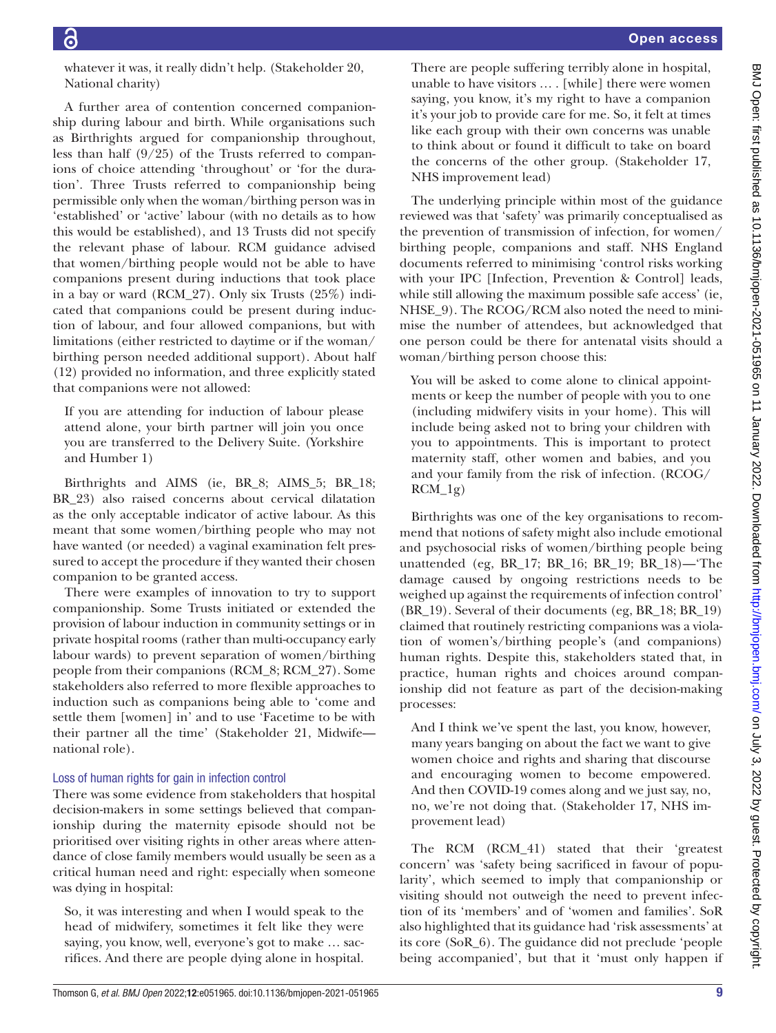whatever it was, it really didn't help. (Stakeholder 20, National charity)

A further area of contention concerned companionship during labour and birth. While organisations such as Birthrights argued for companionship throughout, less than half (9/25) of the Trusts referred to companions of choice attending 'throughout' or 'for the duration'. Three Trusts referred to companionship being permissible only when the woman/birthing person was in 'established' or 'active' labour (with no details as to how this would be established), and 13 Trusts did not specify the relevant phase of labour. RCM guidance advised that women/birthing people would not be able to have companions present during inductions that took place in a bay or ward (RCM\_27). Only six Trusts (25%) indicated that companions could be present during induction of labour, and four allowed companions, but with limitations (either restricted to daytime or if the woman/ birthing person needed additional support). About half (12) provided no information, and three explicitly stated that companions were not allowed:

If you are attending for induction of labour please attend alone, your birth partner will join you once you are transferred to the Delivery Suite. (Yorkshire and Humber 1)

Birthrights and AIMS (ie, BR\_8; AIMS\_5; BR\_18; BR\_23) also raised concerns about cervical dilatation as the only acceptable indicator of active labour. As this meant that some women/birthing people who may not have wanted (or needed) a vaginal examination felt pressured to accept the procedure if they wanted their chosen companion to be granted access.

There were examples of innovation to try to support companionship. Some Trusts initiated or extended the provision of labour induction in community settings or in private hospital rooms (rather than multi-occupancy early labour wards) to prevent separation of women/birthing people from their companions (RCM\_8; RCM\_27). Some stakeholders also referred to more flexible approaches to induction such as companions being able to 'come and settle them [women] in' and to use 'Facetime to be with their partner all the time' (Stakeholder 21, Midwife national role).

#### Loss of human rights for gain in infection control

There was some evidence from stakeholders that hospital decision-makers in some settings believed that companionship during the maternity episode should not be prioritised over visiting rights in other areas where attendance of close family members would usually be seen as a critical human need and right: especially when someone was dying in hospital:

So, it was interesting and when I would speak to the head of midwifery, sometimes it felt like they were saying, you know, well, everyone's got to make … sacrifices. And there are people dying alone in hospital. There are people suffering terribly alone in hospital, unable to have visitors … . [while] there were women saying, you know, it's my right to have a companion it's your job to provide care for me. So, it felt at times like each group with their own concerns was unable to think about or found it difficult to take on board the concerns of the other group. (Stakeholder 17, NHS improvement lead)

The underlying principle within most of the guidance reviewed was that 'safety' was primarily conceptualised as the prevention of transmission of infection, for women/ birthing people, companions and staff. NHS England documents referred to minimising 'control risks working with your IPC [Infection, Prevention & Control] leads, while still allowing the maximum possible safe access' (ie, NHSE\_9). The RCOG/RCM also noted the need to minimise the number of attendees, but acknowledged that one person could be there for antenatal visits should a woman/birthing person choose this:

You will be asked to come alone to clinical appointments or keep the number of people with you to one (including midwifery visits in your home). This will include being asked not to bring your children with you to appointments. This is important to protect maternity staff, other women and babies, and you and your family from the risk of infection. (RCOG/ RCM\_1g)

Birthrights was one of the key organisations to recommend that notions of safety might also include emotional and psychosocial risks of women/birthing people being unattended (eg, BR\_17; BR\_16; BR\_19; BR\_18)—'The damage caused by ongoing restrictions needs to be weighed up against the requirements of infection control' (BR\_19). Several of their documents (eg, BR\_18; BR\_19) claimed that routinely restricting companions was a violation of women's/birthing people's (and companions) human rights. Despite this, stakeholders stated that, in practice, human rights and choices around companionship did not feature as part of the decision-making processes:

And I think we've spent the last, you know, however, many years banging on about the fact we want to give women choice and rights and sharing that discourse and encouraging women to become empowered. And then COVID-19 comes along and we just say, no, no, we're not doing that. (Stakeholder 17, NHS improvement lead)

The RCM (RCM\_41) stated that their 'greatest concern' was 'safety being sacrificed in favour of popularity', which seemed to imply that companionship or visiting should not outweigh the need to prevent infection of its 'members' and of 'women and families'. SoR also highlighted that its guidance had 'risk assessments' at its core (SoR\_6). The guidance did not preclude 'people being accompanied', but that it 'must only happen if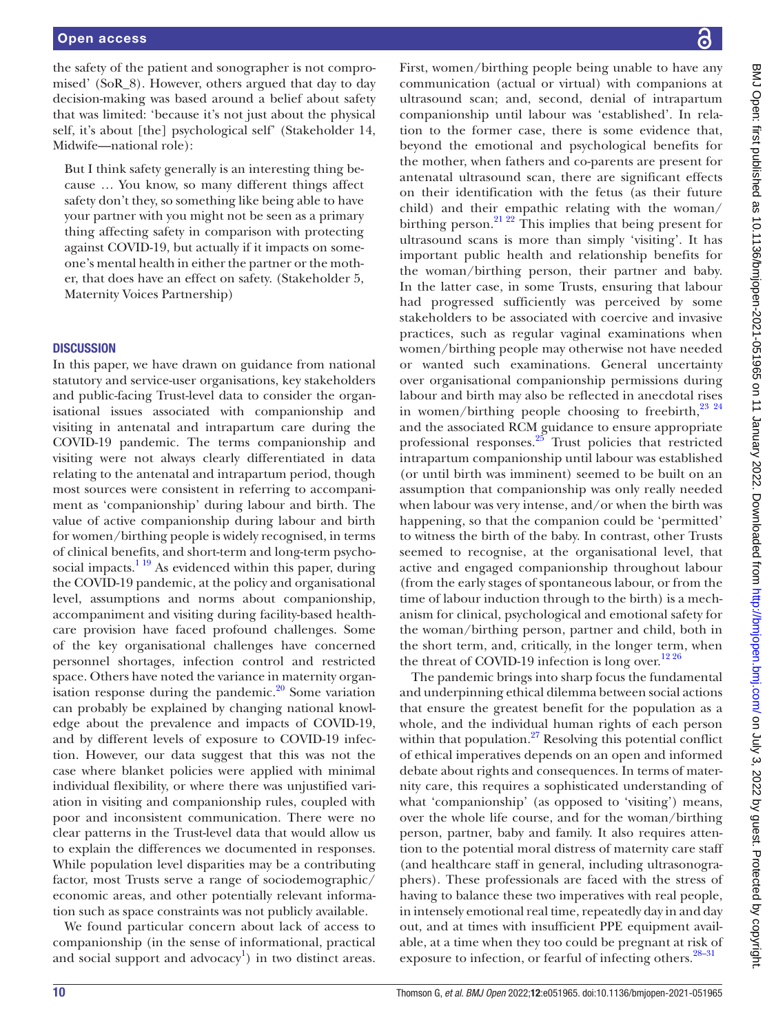the safety of the patient and sonographer is not compromised' (SoR\_8). However, others argued that day to day decision-making was based around a belief about safety that was limited: 'because it's not just about the physical self, it's about [the] psychological self' (Stakeholder 14, Midwife—national role):

But I think safety generally is an interesting thing because … You know, so many different things affect safety don't they, so something like being able to have your partner with you might not be seen as a primary thing affecting safety in comparison with protecting against COVID-19, but actually if it impacts on someone's mental health in either the partner or the mother, that does have an effect on safety. (Stakeholder 5, Maternity Voices Partnership)

#### **DISCUSSION**

In this paper, we have drawn on guidance from national statutory and service-user organisations, key stakeholders and public-facing Trust-level data to consider the organisational issues associated with companionship and visiting in antenatal and intrapartum care during the COVID-19 pandemic. The terms companionship and visiting were not always clearly differentiated in data relating to the antenatal and intrapartum period, though most sources were consistent in referring to accompaniment as 'companionship' during labour and birth. The value of active companionship during labour and birth for women/birthing people is widely recognised, in terms of clinical benefits, and short-term and long-term psychosocial impacts. $1^{19}$  As evidenced within this paper, during the COVID-19 pandemic, at the policy and organisational level, assumptions and norms about companionship, accompaniment and visiting during facility-based healthcare provision have faced profound challenges. Some of the key organisational challenges have concerned personnel shortages, infection control and restricted space. Others have noted the variance in maternity organisation response during the pandemic. $20$  Some variation can probably be explained by changing national knowledge about the prevalence and impacts of COVID-19, and by different levels of exposure to COVID-19 infection. However, our data suggest that this was not the case where blanket policies were applied with minimal individual flexibility, or where there was unjustified variation in visiting and companionship rules, coupled with poor and inconsistent communication. There were no clear patterns in the Trust-level data that would allow us to explain the differences we documented in responses. While population level disparities may be a contributing factor, most Trusts serve a range of sociodemographic/ economic areas, and other potentially relevant information such as space constraints was not publicly available.

We found particular concern about lack of access to companionship (in the sense of informational, practical and social support and advocacy<sup>[1](#page-11-0)</sup>) in two distinct areas.

First, women/birthing people being unable to have any communication (actual or virtual) with companions at ultrasound scan; and, second, denial of intrapartum companionship until labour was 'established'. In relation to the former case, there is some evidence that, beyond the emotional and psychological benefits for the mother, when fathers and co-parents are present for antenatal ultrasound scan, there are significant effects on their identification with the fetus (as their future child) and their empathic relating with the woman/ birthing person.<sup>[21 22](#page-11-13)</sup> This implies that being present for ultrasound scans is more than simply 'visiting'. It has important public health and relationship benefits for the woman/birthing person, their partner and baby. In the latter case, in some Trusts, ensuring that labour had progressed sufficiently was perceived by some stakeholders to be associated with coercive and invasive practices, such as regular vaginal examinations when women/birthing people may otherwise not have needed or wanted such examinations. General uncertainty over organisational companionship permissions during labour and birth may also be reflected in anecdotal rises in women/birthing people choosing to freebirth, $^{23}$   $^{24}$ and the associated RCM guidance to ensure appropriate professional responses.[25](#page-11-15) Trust policies that restricted intrapartum companionship until labour was established (or until birth was imminent) seemed to be built on an assumption that companionship was only really needed when labour was very intense, and/or when the birth was happening, so that the companion could be 'permitted' to witness the birth of the baby. In contrast, other Trusts seemed to recognise, at the organisational level, that active and engaged companionship throughout labour (from the early stages of spontaneous labour, or from the time of labour induction through to the birth) is a mechanism for clinical, psychological and emotional safety for the woman/birthing person, partner and child, both in the short term, and, critically, in the longer term, when the threat of COVID-19 infection is long over.<sup>1226</sup>

The pandemic brings into sharp focus the fundamental and underpinning ethical dilemma between social actions that ensure the greatest benefit for the population as a whole, and the individual human rights of each person within that population. $^{27}$  $^{27}$  $^{27}$  Resolving this potential conflict of ethical imperatives depends on an open and informed debate about rights and consequences. In terms of maternity care, this requires a sophisticated understanding of what 'companionship' (as opposed to 'visiting') means, over the whole life course, and for the woman/birthing person, partner, baby and family. It also requires attention to the potential moral distress of maternity care staff (and healthcare staff in general, including ultrasonographers). These professionals are faced with the stress of having to balance these two imperatives with real people, in intensely emotional real time, repeatedly day in and day out, and at times with insufficient PPE equipment available, at a time when they too could be pregnant at risk of exposure to infection, or fearful of infecting others.<sup>28–31</sup>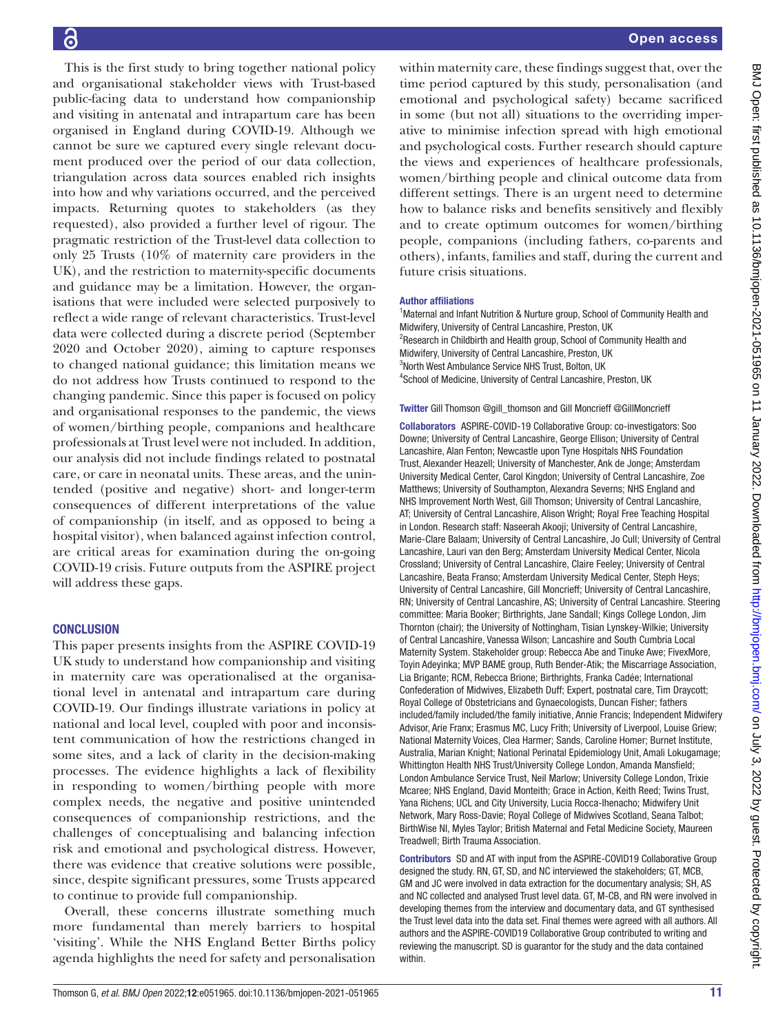This is the first study to bring together national policy and organisational stakeholder views with Trust-based public-facing data to understand how companionship and visiting in antenatal and intrapartum care has been organised in England during COVID-19. Although we cannot be sure we captured every single relevant document produced over the period of our data collection, triangulation across data sources enabled rich insights into how and why variations occurred, and the perceived impacts. Returning quotes to stakeholders (as they requested), also provided a further level of rigour. The pragmatic restriction of the Trust-level data collection to only 25 Trusts (10% of maternity care providers in the UK), and the restriction to maternity-specific documents and guidance may be a limitation. However, the organisations that were included were selected purposively to reflect a wide range of relevant characteristics. Trust-level data were collected during a discrete period (September 2020 and October 2020), aiming to capture responses to changed national guidance; this limitation means we do not address how Trusts continued to respond to the changing pandemic. Since this paper is focused on policy and organisational responses to the pandemic, the views of women/birthing people, companions and healthcare professionals at Trust level were not included. In addition, our analysis did not include findings related to postnatal care, or care in neonatal units. These areas, and the unintended (positive and negative) short- and longer-term consequences of different interpretations of the value of companionship (in itself, and as opposed to being a hospital visitor), when balanced against infection control, are critical areas for examination during the on-going COVID-19 crisis. Future outputs from the ASPIRE project will address these gaps.

# **CONCLUSION**

This paper presents insights from the ASPIRE COVID-19 UK study to understand how companionship and visiting in maternity care was operationalised at the organisational level in antenatal and intrapartum care during COVID-19. Our findings illustrate variations in policy at national and local level, coupled with poor and inconsistent communication of how the restrictions changed in some sites, and a lack of clarity in the decision-making processes. The evidence highlights a lack of flexibility in responding to women/birthing people with more complex needs, the negative and positive unintended consequences of companionship restrictions, and the challenges of conceptualising and balancing infection risk and emotional and psychological distress. However, there was evidence that creative solutions were possible, since, despite significant pressures, some Trusts appeared to continue to provide full companionship.

Overall, these concerns illustrate something much more fundamental than merely barriers to hospital 'visiting'. While the NHS England Better Births policy agenda highlights the need for safety and personalisation

within maternity care, these findings suggest that, over the time period captured by this study, personalisation (and emotional and psychological safety) became sacrificed in some (but not all) situations to the overriding imperative to minimise infection spread with high emotional and psychological costs. Further research should capture the views and experiences of healthcare professionals, women/birthing people and clinical outcome data from different settings. There is an urgent need to determine how to balance risks and benefits sensitively and flexibly and to create optimum outcomes for women/birthing people, companions (including fathers, co-parents and others), infants, families and staff, during the current and future crisis situations.

## Author affiliations

<sup>1</sup>Maternal and Infant Nutrition & Nurture group, School of Community Health and Midwifery, University of Central Lancashire, Preston, UK <sup>2</sup>Research in Childbirth and Health group, School of Community Health and Midwifery, University of Central Lancashire, Preston, UK <sup>3</sup>North West Ambulance Service NHS Trust, Bolton, UK 4 School of Medicine, University of Central Lancashire, Preston, UK

Twitter Gill Thomson [@gill\\_thomson](https://twitter.com/gill_thomson) and Gill Moncrieff [@GillMoncrieff](https://twitter.com/GillMoncrieff)

Collaborators ASPIRE-COVID-19 Collaborative Group: co-investigators: Soo Downe; University of Central Lancashire, George Ellison; University of Central Lancashire, Alan Fenton; Newcastle upon Tyne Hospitals NHS Foundation Trust, Alexander Heazell; University of Manchester, Ank de Jonge; Amsterdam University Medical Center, Carol Kingdon; University of Central Lancashire, Zoe Matthews; University of Southampton, Alexandra Severns; NHS England and NHS Improvement North West, Gill Thomson; University of Central Lancashire, AT; University of Central Lancashire, Alison Wright; Royal Free Teaching Hospital in London. Research staff: Naseerah Akooji; University of Central Lancashire, Marie-Clare Balaam; University of Central Lancashire, Jo Cull; University of Central Lancashire, Lauri van den Berg; Amsterdam University Medical Center, Nicola Crossland; University of Central Lancashire, Claire Feeley; University of Central Lancashire, Beata Franso; Amsterdam University Medical Center, Steph Heys; University of Central Lancashire, Gill Moncrieff; University of Central Lancashire, RN; University of Central Lancashire, AS; University of Central Lancashire. Steering committee: Maria Booker; Birthrights, Jane Sandall; Kings College London, Jim Thornton (chair); the University of Nottingham, Tisian Lynskey-Wilkie; University of Central Lancashire, Vanessa Wilson; Lancashire and South Cumbria Local Maternity System. Stakeholder group: Rebecca Abe and Tinuke Awe; FivexMore, Toyin Adeyinka; MVP BAME group, Ruth Bender-Atik; the Miscarriage Association, Lia Brigante; RCM, Rebecca Brione; Birthrights, Franka Cadée; International Confederation of Midwives, Elizabeth Duff; Expert, postnatal care, Tim Draycott; Royal College of Obstetricians and Gynaecologists, Duncan Fisher; fathers included/family included/the family initiative, Annie Francis; Independent Midwifery Advisor, Arie Franx; Erasmus MC, Lucy Frith; University of Liverpool, Louise Griew; National Maternity Voices, Clea Harmer; Sands, Caroline Homer; Burnet Institute, Australia, Marian Knight; National Perinatal Epidemiology Unit, Amali Lokugamage; Whittington Health NHS Trust/University College London, Amanda Mansfield; London Ambulance Service Trust, Neil Marlow; University College London, Trixie Mcaree; NHS England, David Monteith; Grace in Action, Keith Reed; Twins Trust, Yana Richens; UCL and City University, Lucia Rocca-Ihenacho; Midwifery Unit Network, Mary Ross-Davie; Royal College of Midwives Scotland, Seana Talbot; BirthWise NI, Myles Taylor; British Maternal and Fetal Medicine Society, Maureen Treadwell; Birth Trauma Association.

Contributors SD and AT with input from the ASPIRE-COVID19 Collaborative Group designed the study. RN, GT, SD, and NC interviewed the stakeholders; GT, MCB, GM and JC were involved in data extraction for the documentary analysis; SH, AS and NC collected and analysed Trust level data. GT, M-CB, and RN were involved in developing themes from the interview and documentary data, and GT synthesised the Trust level data into the data set. Final themes were agreed with all authors. All authors and the ASPIRE-COVID19 Collaborative Group contributed to writing and reviewing the manuscript. SD is guarantor for the study and the data contained within.